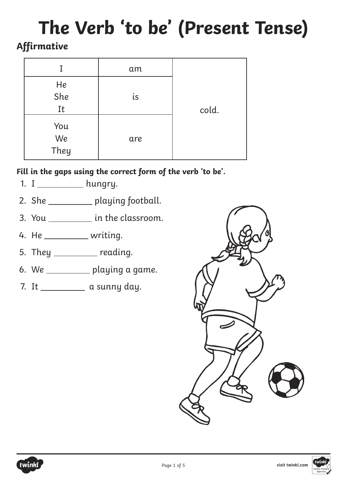# **The Verb 'to be' (Present Tense)**

# **Affirmative**

| Ι                 | am  |       |
|-------------------|-----|-------|
| He<br>She<br>It   | is  | cold. |
| You<br>We<br>They | are |       |

- 1. I \_\_\_\_\_\_\_\_\_\_\_ hungry.
- 2. She \_\_\_\_\_\_\_\_\_ playing football.
- 3. You \_\_\_\_\_\_\_\_\_\_\_ in the classroom.
- 4. He \_\_\_\_\_\_\_\_\_\_\_ writing.
- 5. They \_\_\_\_\_\_\_\_ reading.
- 6. We  $\_\_\_\_\_\_$ playing a game.
- 7. It \_\_\_\_\_\_\_\_\_\_ a sunny day.



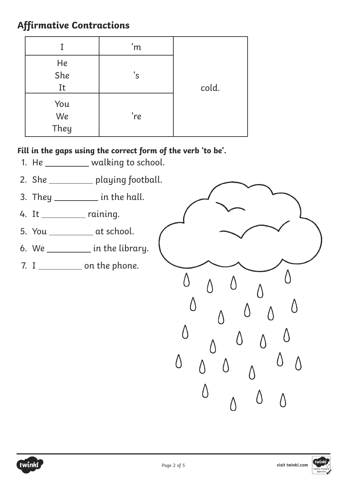# **Affirmative Contractions**

|                   | 'm            |       |
|-------------------|---------------|-------|
| He<br>She<br>It   | $^{\prime}$ S | cold. |
| You<br>We<br>They | 're           |       |

- 1. He \_\_\_\_\_\_\_\_\_ walking to school.
- 2. She \_\_\_\_\_\_\_\_\_ playing football.
- 3. They  $\frac{1}{\sqrt{1-\frac{1}{\sqrt{1-\frac{1}{\sqrt{1-\frac{1}{\sqrt{1-\frac{1}{\sqrt{1-\frac{1}{\sqrt{1-\frac{1}{\sqrt{1-\frac{1}{\sqrt{1-\frac{1}{\sqrt{1-\frac{1}{\sqrt{1-\frac{1}{\sqrt{1-\frac{1}{\sqrt{1-\frac{1}{\sqrt{1-\frac{1}{\sqrt{1-\frac{1}{\sqrt{1-\frac{1}{\sqrt{1-\frac{1}{\sqrt{1-\frac{1}{\sqrt{1-\frac{1}{\sqrt{1-\frac{1}{\sqrt{1-\frac{1}{\sqrt{1-\frac{1}{\sqrt{1-\frac{1}{\sqrt{1-\frac{1}{$
- 4. It \_\_\_\_\_\_\_\_\_\_ raining.
- 5. You \_\_\_\_\_\_\_\_\_\_ at school.
- 6. We  $\frac{1}{\sqrt{1-\frac{1}{\sqrt{1-\frac{1}{\sqrt{1-\frac{1}{\sqrt{1-\frac{1}{\sqrt{1-\frac{1}{\sqrt{1-\frac{1}{\sqrt{1-\frac{1}{\sqrt{1-\frac{1}{\sqrt{1-\frac{1}{\sqrt{1-\frac{1}{\sqrt{1-\frac{1}{\sqrt{1-\frac{1}{\sqrt{1-\frac{1}{\sqrt{1-\frac{1}{\sqrt{1-\frac{1}{\sqrt{1-\frac{1}{\sqrt{1-\frac{1}{\sqrt{1-\frac{1}{\sqrt{1-\frac{1}{\sqrt{1-\frac{1}{\sqrt{1-\frac{1}{\sqrt{1-\frac{1}{\sqrt{1-\frac{1}{\sqrt$
- 7. I on the phone.





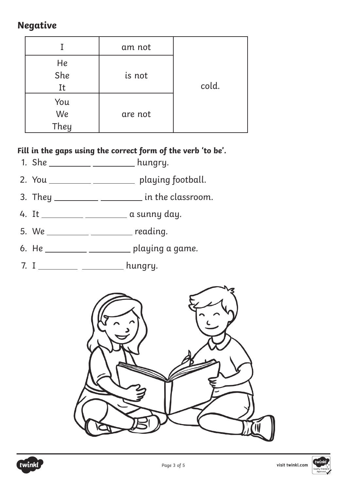## **Negative**

|                   | am not  |       |
|-------------------|---------|-------|
| He<br>She<br>It   | is not  | cold. |
| You<br>We<br>They | are not |       |

- 1. She \_\_\_\_\_\_\_\_\_\_\_ \_\_\_\_\_\_\_\_\_\_ hungry.
- 2. You \_\_\_\_\_\_\_\_\_\_\_ \_\_\_\_\_\_\_\_\_\_ playing football.
- 3. They  $\frac{1}{\sqrt{1-\frac{1}{\sqrt{1-\frac{1}{\sqrt{1-\frac{1}{\sqrt{1-\frac{1}{\sqrt{1-\frac{1}{\sqrt{1-\frac{1}{\sqrt{1-\frac{1}{\sqrt{1-\frac{1}{\sqrt{1-\frac{1}{\sqrt{1-\frac{1}{\sqrt{1-\frac{1}{\sqrt{1-\frac{1}{\sqrt{1-\frac{1}{\sqrt{1-\frac{1}{\sqrt{1-\frac{1}{\sqrt{1-\frac{1}{\sqrt{1-\frac{1}{\sqrt{1-\frac{1}{\sqrt{1-\frac{1}{\sqrt{1-\frac{1}{\sqrt{1-\frac{1}{\sqrt{1-\frac{1}{\sqrt{1-\frac{1}{$
- 4. It \_\_\_\_\_\_\_\_\_\_ \_\_\_\_\_\_\_\_\_\_ a sunny day.
- $5. We _______$
- 6. He  $\_\_\_\_\_\_\_\_\_\_\_\_\_$  playing a game.
- 7. I \_\_\_\_\_\_\_\_\_\_ \_\_\_\_\_\_\_\_\_\_ hungry.





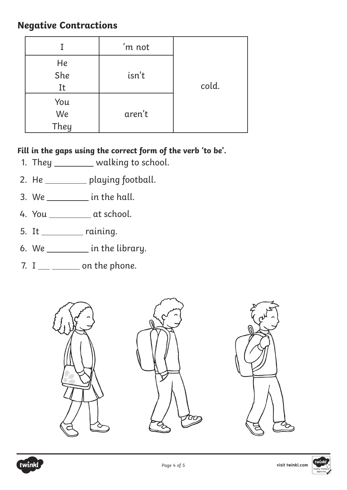## **Negative Contractions**

|                   | 'm not |       |
|-------------------|--------|-------|
| He<br>She<br>It   | isn't  | cold. |
| You<br>We<br>They | aren't |       |

- 1. They \_\_\_\_\_\_\_\_ walking to school.
- 2. He \_\_\_\_\_\_\_\_ playing football.
- 3. We  $\_\_\_\_\_\_\_\$  in the hall.
- 4. You at school.
- $5. It _______ raining.$
- 6. We  $\frac{1}{\sqrt{1-\frac{1}{\sqrt{1-\frac{1}{\sqrt{1-\frac{1}{\sqrt{1-\frac{1}{\sqrt{1-\frac{1}{\sqrt{1-\frac{1}{\sqrt{1-\frac{1}{\sqrt{1-\frac{1}{\sqrt{1-\frac{1}{\sqrt{1-\frac{1}{\sqrt{1-\frac{1}{\sqrt{1-\frac{1}{\sqrt{1-\frac{1}{\sqrt{1-\frac{1}{\sqrt{1-\frac{1}{\sqrt{1-\frac{1}{\sqrt{1-\frac{1}{\sqrt{1-\frac{1}{\sqrt{1-\frac{1}{\sqrt{1-\frac{1}{\sqrt{1-\frac{1}{\sqrt{1-\frac{1}{\sqrt{1-\frac{1}{\sqrt$
- $7. I$   $\_\_$  on the phone.





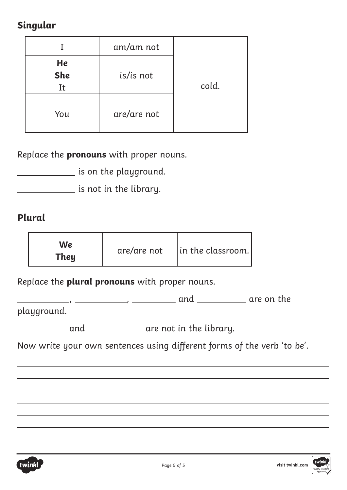# **Singular**

|                        | am/am not   |       |
|------------------------|-------------|-------|
| He<br><b>She</b><br>It | is/is not   | cold. |
| You                    | are/are not |       |

Replace the **pronouns** with proper nouns.

is on the playground.

is not in the library.

## **Plural**

Replace the **plural pronouns** with proper nouns.

, , and are on the

playground.

**and container** are not in the library.

Now write your own sentences using different forms of the verb 'to be'.



 $\overline{a}$ 

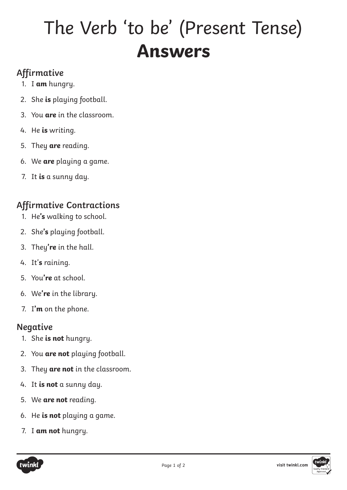# The Verb 'to be' (Present Tense) **Answers**

# **Affirmative**

- 1. I **am** hungry.
- 2. She **is** playing football.
- 3. You **are** in the classroom.
- 4. He **is** writing.
- 5. They **are** reading.
- 6. We **are** playing a game.
- 7. It **is** a sunny day.

## **Affirmative Contractions**

- 1. He**'s** walking to school.
- 2. She**'s** playing football.
- 3. They**'re** in the hall.
- 4. It'**s** raining.
- 5. You**'re** at school.
- 6. We**'re** in the library.
- 7. I**'m** on the phone.

#### **Negative**

- 1. She **is not** hungry.
- 2. You **are not** playing football.
- 3. They **are not** in the classroom.
- 4. It **is not** a sunny day.
- 5. We **are not** reading.
- 6. He **is not** playing a game.
- 7. I **am not** hungry.